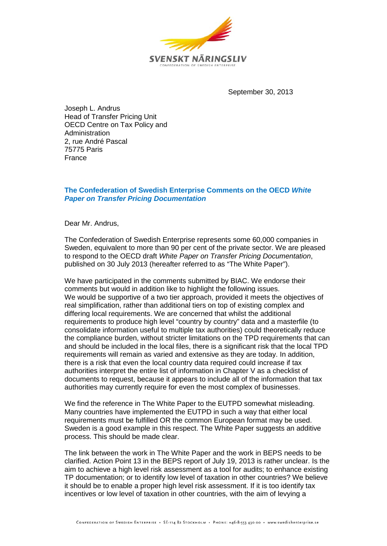

September 30, 2013

Joseph L. Andrus Head of Transfer Pricing Unit OECD Centre on Tax Policy and Administration 2, rue André Pascal 75775 Paris France

# **The Confederation of Swedish Enterprise Comments on the OECD** *White Paper on Transfer Pricing Documentation*

Dear Mr. Andrus,

The Confederation of Swedish Enterprise represents some 60,000 companies in Sweden, equivalent to more than 90 per cent of the private sector. We are pleased to respond to the OECD draft *White Paper on Transfer Pricing Documentation*, published on 30 July 2013 (hereafter referred to as "The White Paper").

We have participated in the comments submitted by BIAC. We endorse their comments but would in addition like to highlight the following issues. We would be supportive of a two tier approach, provided it meets the objectives of real simplification, rather than additional tiers on top of existing complex and differing local requirements. We are concerned that whilst the additional requirements to produce high level "country by country" data and a masterfile (to consolidate information useful to multiple tax authorities) could theoretically reduce the compliance burden, without stricter limitations on the TPD requirements that can and should be included in the local files, there is a significant risk that the local TPD requirements will remain as varied and extensive as they are today. In addition, there is a risk that even the local country data required could increase if tax authorities interpret the entire list of information in Chapter V as a checklist of documents to request, because it appears to include all of the information that tax authorities may currently require for even the most complex of businesses.

We find the reference in The White Paper to the EUTPD somewhat misleading. Many countries have implemented the EUTPD in such a way that either local requirements must be fulfilled OR the common European format may be used. Sweden is a good example in this respect. The White Paper suggests an additive process. This should be made clear.

The link between the work in The White Paper and the work in BEPS needs to be clarified. Action Point 13 in the BEPS report of July 19, 2013 is rather unclear. Is the aim to achieve a high level risk assessment as a tool for audits; to enhance existing TP documentation; or to identify low level of taxation in other countries? We believe it should be to enable a proper high level risk assessment. If it is too identify tax incentives or low level of taxation in other countries, with the aim of levying a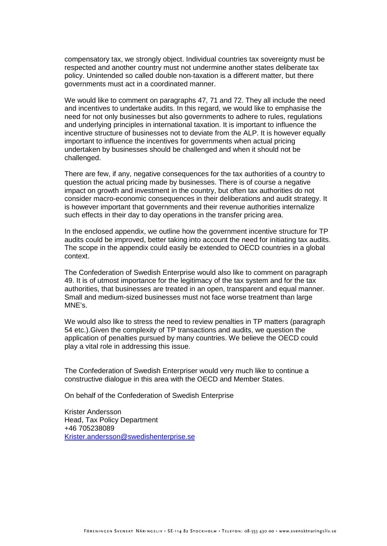compensatory tax, we strongly object. Individual countries tax sovereignty must be respected and another country must not undermine another states deliberate tax policy. Unintended so called double non-taxation is a different matter, but there governments must act in a coordinated manner.

We would like to comment on paragraphs 47, 71 and 72. They all include the need and incentives to undertake audits. In this regard, we would like to emphasise the need for not only businesses but also governments to adhere to rules, regulations and underlying principles in international taxation. It is important to influence the incentive structure of businesses not to deviate from the ALP. It is however equally important to influence the incentives for governments when actual pricing undertaken by businesses should be challenged and when it should not be challenged.

There are few, if any, negative consequences for the tax authorities of a country to question the actual pricing made by businesses. There is of course a negative impact on growth and investment in the country, but often tax authorities do not consider macro-economic consequences in their deliberations and audit strategy. It is however important that governments and their revenue authorities internalize such effects in their day to day operations in the transfer pricing area.

In the enclosed appendix, we outline how the government incentive structure for TP audits could be improved, better taking into account the need for initiating tax audits. The scope in the appendix could easily be extended to OECD countries in a global context.

The Confederation of Swedish Enterprise would also like to comment on paragraph 49. It is of utmost importance for the legitimacy of the tax system and for the tax authorities, that businesses are treated in an open, transparent and equal manner. Small and medium-sized businesses must not face worse treatment than large MNE's.

We would also like to stress the need to review penalties in TP matters (paragraph 54 etc.).Given the complexity of TP transactions and audits, we question the application of penalties pursued by many countries. We believe the OECD could play a vital role in addressing this issue.

The Confederation of Swedish Enterpriser would very much like to continue a constructive dialogue in this area with the OECD and Member States.

On behalf of the Confederation of Swedish Enterprise

Krister Andersson Head, Tax Policy Department +46 705238089 [Krister.andersson@swedishenterprise.se](mailto:Krister.andersson@swedishenterprise.se)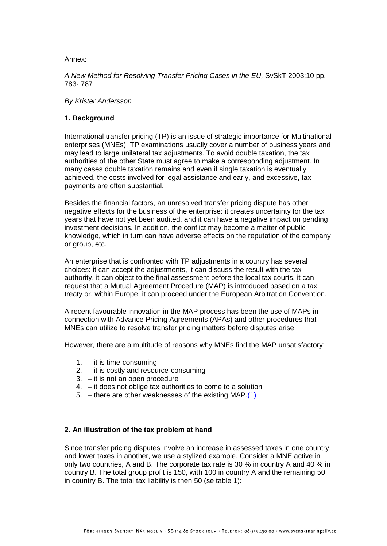Annex:

*A New Method for Resolving Transfer Pricing Cases in the EU,* SvSkT 2003:10 pp. 783- 787

*By Krister Andersson*

# **1. Background**

International transfer pricing (TP) is an issue of strategic importance for Multinational enterprises (MNEs). TP examinations usually cover a number of business years and may lead to large unilateral tax adjustments. To avoid double taxation, the tax authorities of the other State must agree to make a corresponding adjustment. In many cases double taxation remains and even if single taxation is eventually achieved, the costs involved for legal assistance and early, and excessive, tax payments are often substantial.

Besides the financial factors, an unresolved transfer pricing dispute has other negative effects for the business of the enterprise: it creates uncertainty for the tax years that have not yet been audited, and it can have a negative impact on pending investment decisions. In addition, the conflict may become a matter of public knowledge, which in turn can have adverse effects on the reputation of the company or group, etc.

An enterprise that is confronted with TP adjustments in a country has several choices: it can accept the adjustments, it can discuss the result with the tax authority, it can object to the final assessment before the local tax courts, it can request that a Mutual Agreement Procedure (MAP) is introduced based on a tax treaty or, within Europe, it can proceed under the European Arbitration Convention.

A recent favourable innovation in the MAP process has been the use of MAPs in connection with Advance Pricing Agreements (APAs) and other procedures that MNEs can utilize to resolve transfer pricing matters before disputes arise.

However, there are a multitude of reasons why MNEs find the MAP unsatisfactory:

- 1. it is time-consuming
- 2. it is costly and resource-consuming
- 3. it is not an open procedure
- 4. it does not oblige tax authorities to come to a solution
- 5. there are other weaknesses of the existing MAP. $(1)$

# **2. An illustration of the tax problem at hand**

Since transfer pricing disputes involve an increase in assessed taxes in one country, and lower taxes in another, we use a stylized example. Consider a MNE active in only two countries, A and B. The corporate tax rate is 30 % in country A and 40 % in country B. The total group profit is 150, with 100 in country A and the remaining 50 in country B. The total tax liability is then 50 (se table 1):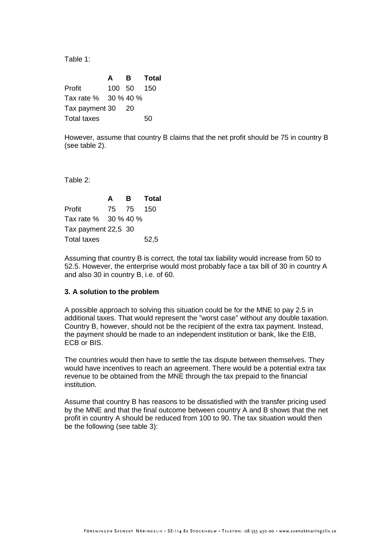Table 1:

**A B Total** Profit 100 50 150 Tax rate % 30 % 40 % Tax payment 30 20 Total taxes 50

However, assume that country B claims that the net profit should be 75 in country B (see table 2).

Table 2:

|                      | A | в         | Total |
|----------------------|---|-----------|-------|
| Profit               |   | 75 75 150 |       |
| Tax rate % 30 % 40 % |   |           |       |
| Tax payment 22,5 30  |   |           |       |
| <b>Total taxes</b>   |   |           | 52,5  |

Assuming that country B is correct, the total tax liability would increase from 50 to 52.5. However, the enterprise would most probably face a tax bill of 30 in country A and also 30 in country B, i.e. of 60.

### **3. A solution to the problem**

A possible approach to solving this situation could be for the MNE to pay 2.5 in additional taxes. That would represent the "worst case" without any double taxation. Country B, however, should not be the recipient of the extra tax payment. Instead, the payment should be made to an independent institution or bank, like the EIB, ECB or BIS.

The countries would then have to settle the tax dispute between themselves. They would have incentives to reach an agreement. There would be a potential extra tax revenue to be obtained from the MNE through the tax prepaid to the financial institution.

Assume that country B has reasons to be dissatisfied with the transfer pricing used by the MNE and that the final outcome between country A and B shows that the net profit in country A should be reduced from 100 to 90. The tax situation would then be the following (see table 3):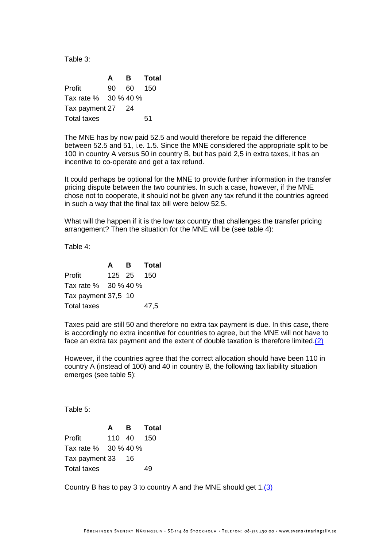Table 3:

**A B Total** Profit 90 60 150 Tax rate % 30 % 40 % Tax payment 27 24 Total taxes 51

The MNE has by now paid 52.5 and would therefore be repaid the difference between 52.5 and 51, i.e. 1.5. Since the MNE considered the appropriate split to be 100 in country A versus 50 in country B, but has paid 2,5 in extra taxes, it has an incentive to co-operate and get a tax refund.

It could perhaps be optional for the MNE to provide further information in the transfer pricing dispute between the two countries. In such a case, however, if the MNE chose not to cooperate, it should not be given any tax refund it the countries agreed in such a way that the final tax bill were below 52.5.

What will the happen if it is the low tax country that challenges the transfer pricing arrangement? Then the situation for the MNE will be (see table 4):

Table 4:

|                      | A | в          | Total |
|----------------------|---|------------|-------|
| Profit               |   | 125 25 150 |       |
| Tax rate % 30 % 40 % |   |            |       |
| Tax payment 37,5 10  |   |            |       |
| <b>Total taxes</b>   |   |            | 47,5  |

Taxes paid are still 50 and therefore no extra tax payment is due. In this case, there is accordingly no extra incentive for countries to agree, but the MNE will not have to face an extra tax payment and the extent of double taxation is therefore limited. $(2)$ 

However, if the countries agree that the correct allocation should have been 110 in country A (instead of 100) and 40 in country B, the following tax liability situation emerges (see table 5):

Table 5:

|                      | A | в          | <b>Total</b> |
|----------------------|---|------------|--------------|
| Profit               |   | 110 40 150 |              |
| Tax rate % 30 % 40 % |   |            |              |
| Tax payment 33 16    |   |            |              |
| Total taxes          |   |            | 49           |

Country B has to pay 3 to country A and the MNE should get 1[.\(3\)](javascript:parent.handleFN()